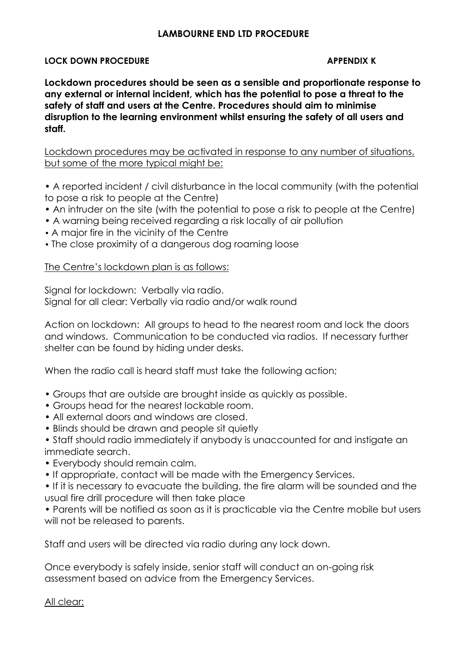## **LAMBOURNE END LTD PROCEDURE**

#### **LOCK DOWN PROCEDURE APPENDIX K**

**Lockdown procedures should be seen as a sensible and proportionate response to any external or internal incident, which has the potential to pose a threat to the safety of staff and users at the Centre. Procedures should aim to minimise disruption to the learning environment whilst ensuring the safety of all users and staff.**

Lockdown procedures may be activated in response to any number of situations, but some of the more typical might be:

- A reported incident / civil disturbance in the local community (with the potential to pose a risk to people at the Centre)
- An intruder on the site (with the potential to pose a risk to people at the Centre)
- A warning being received regarding a risk locally of air pollution
- A major fire in the vicinity of the Centre
- The close proximity of a dangerous dog roaming loose

### The Centre's lockdown plan is as follows:

Signal for lockdown: Verbally via radio. Signal for all clear: Verbally via radio and/or walk round

Action on lockdown: All groups to head to the nearest room and lock the doors and windows. Communication to be conducted via radios. If necessary further shelter can be found by hiding under desks.

When the radio call is heard staff must take the following action;

- Groups that are outside are brought inside as quickly as possible.
- Groups head for the nearest lockable room.
- All external doors and windows are closed.
- Blinds should be drawn and people sit quietly
- Staff should radio immediately if anybody is unaccounted for and instigate an immediate search.
- Everybody should remain calm.
- If appropriate, contact will be made with the Emergency Services.

• If it is necessary to evacuate the building, the fire alarm will be sounded and the usual fire drill procedure will then take place

• Parents will be notified as soon as it is practicable via the Centre mobile but users will not be released to parents.

Staff and users will be directed via radio during any lock down.

Once everybody is safely inside, senior staff will conduct an on-going risk assessment based on advice from the Emergency Services.

All clear: